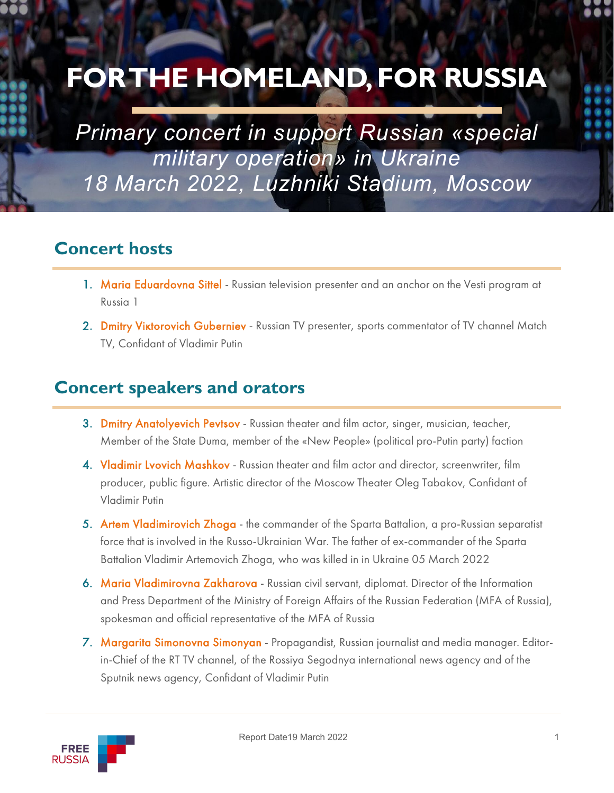# **FOR THE HOMELAND, FOR RUSSIA**

*Primary concert in support Russian «special military operation» in Ukraine 18 March 2022, Luzhniki Stadium, Moscow*

## **Concert hosts**

- 1. Maria Eduardovna Sittel Russian television presenter and an anchor on the Vesti program at Russia 1
- 2. Dmitry Viktorovich Guberniev Russian TV presenter, sports commentator of TV channel Match TV, Confidant of Vladimir Putin

## **Concert speakers and orators**

- 3. Dmitry Anatolyevich Pevtsov Russian theater and film actor, singer, musician, teacher, Member of the State Duma, member of the «New People» (political pro-Putin party) faction
- 4. Vladimir Lvovich Mashkov Russian theater and film actor and director, screenwriter, film producer, public figure. Artistic director of the Moscow Theater Oleg Tabakov, Confidant of Vladimir Putin
- 5. Artem Vladimirovich Zhoga the commander of the Sparta Battalion, a pro-Russian separatist force that is involved in the Russo-Ukrainian War. The father of ex-commander of the Sparta Battalion Vladimir Artemovich Zhoga, who was killed in in Ukraine 05 March 2022
- 6. Maria Vladimirovna Zakharova Russian civil servant, diplomat. Director of the Information and Press Department of the Ministry of Foreign Affairs of the Russian Federation (MFA of Russia), spokesman and official representative of the MFA of Russia
- 7. Margarita Simonovna Simonyan Propagandist, Russian journalist and media manager. Editorin-Chief of the RT TV channel, of the Rossiya Segodnya international news agency and of the Sputnik news agency, Confidant of Vladimir Putin

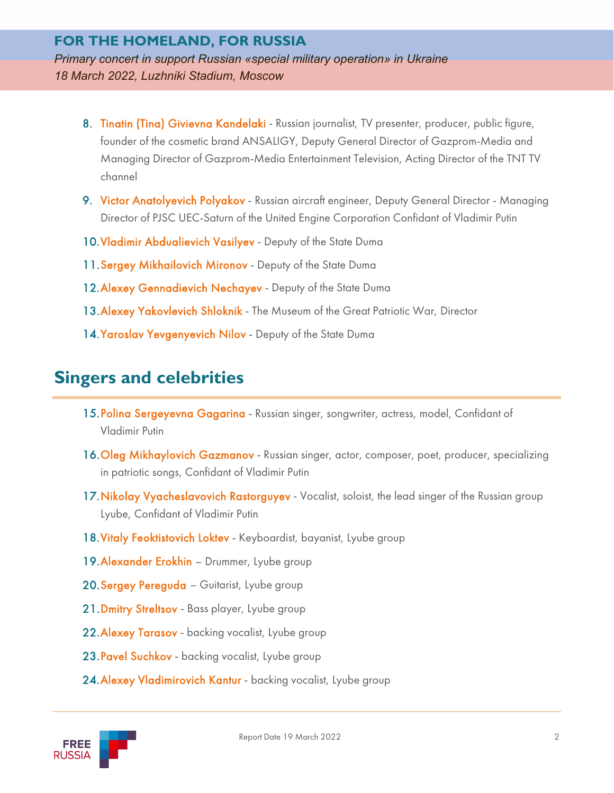#### **FOR THE HOMELAND, FOR RUSSIA** *Primary concert in support Russian «special military operation» in Ukraine 18 March 2022, Luzhniki Stadium, Moscow*

- 8. Tinatin (Tina) Givievna Kandelaki Russian journalist, TV presenter, producer, public figure, founder of the cosmetic brand ANSALIGY, Deputy General Director of Gazprom-Media and Managing Director of Gazprom-Media Entertainment Television, Acting Director of the TNT TV channel
- 9. Victor Anatolyevich Polyakov Russian aircraft engineer, Deputy General Director Managing Director of PJSC UEC-Saturn of the United Engine Corporation Confidant of Vladimir Putin
- 10. Vladimir Abdualievich Vasilyev Deputy of the State Duma
- 11. Sergey Mikhailovich Mironov Deputy of the State Duma
- 12. Alexey Gennadievich Nechayev Deputy of the State Duma
- 13. Alexey Yakovlevich Shloknik The Museum of the Great Patriotic War, Director
- 14. Yaroslav Yevgenyevich Nilov Deputy of the State Duma

## **Singers and celebrities**

- 15. Polina Sergeyevna Gagarina Russian singer, songwriter, actress, model, Confidant of Vladimir Putin
- 16. Oleg Mikhaylovich Gazmanov Russian singer, actor, composer, poet, producer, specializing in patriotic songs, Confidant of Vladimir Putin
- 17. Nikolay Vyacheslavovich Rastorguyev Vocalist, soloist, the lead singer of the Russian group Lyube, Confidant of Vladimir Putin
- 18. Vitaly Feoktistovich Loktev Keyboardist, bayanist, Lyube group
- 19. Alexander Erokhin Drummer, Lyube group
- 20. Sergey Pereguda Guitarist, Lyube group
- 21. Dmitry Streltsov Bass player, Lyube group
- 22. Alexey Tarasov backing vocalist, Lyube group
- 23. Pavel Suchkov backing vocalist, Lyube group
- 24. Alexey Vladimirovich Kantur backing vocalist, Lyube group

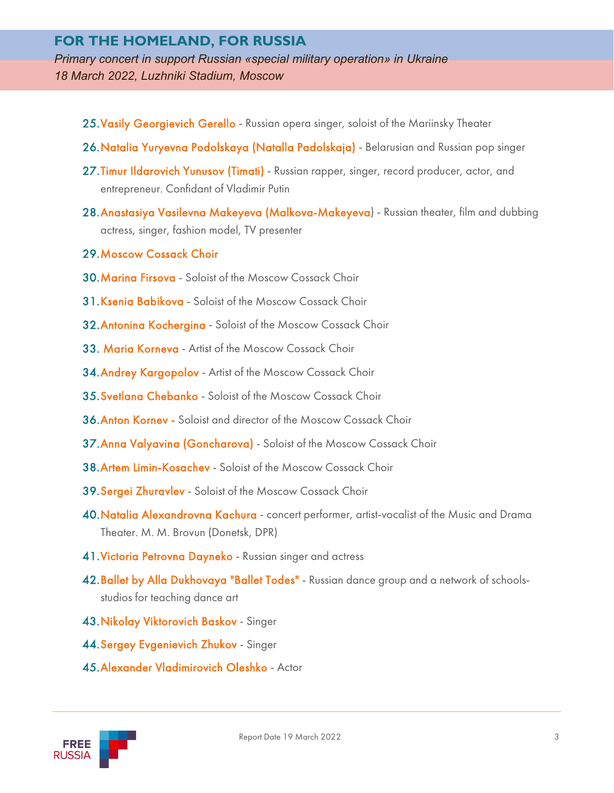#### **FOR THE HOMELAND, FOR RUSSIA**

*Primary concert in support Russian «special military operation» in Ukraine 18 March 2022, Luzhniki Stadium, Moscow*

- 25. Vasily Georgievich Gerello Russian opera singer, soloist of the Mariinsky Theater
- 26. Natalia Yuryevna Podolskaya (Natalla Padolskaja) Belarusian and Russian pop singer
- 27. Timur Ildarovich Yunusov (Timati) Russian rapper, singer, record producer, actor, and entrepreneur. Confidant of Vladimir Putin
- 28. Anastasiya Vasilevna Makeyeva (Malkova-Makeyeva) Russian theater, film and dubbing actress, singer, fashion model, TV presenter
- 29.Moscow Cossack Choir
- 30.Marina Firsova Soloist of the Moscow Cossack Choir
- 31. Ksenia Babikova Soloist of the Moscow Cossack Choir
- 32.Antonina Kochergina Soloist of the Moscow Cossack Choir
- 33. Maria Korneva Artist of the Moscow Cossack Choir
- 34. Andrey Kargopolov Artist of the Moscow Cossack Choir
- 35.Svetlana Chebanko Soloist of the Moscow Cossack Choir
- 36.Anton Kornev Soloist and director of the Moscow Cossack Choir
- 37. Anna Valyavina (Goncharova) Soloist of the Moscow Cossack Choir
- 38.Artem Limin-Kosachev Soloist of the Moscow Cossack Choir
- 39.Sergei Zhuravlev Soloist of the Moscow Cossack Choir
- 40.Natalia Alexandrovna Kachura concert performer, artist-vocalist of the Music and Drama Theater. M. M. Brovun (Donetsk, DPR)
- 41. Victoria Petrovna Dayneko Russian singer and actress
- 42. Ballet by Alla Dukhovaya "Ballet Todes" Russian dance group and a network of schoolsstudios for teaching dance art
- 43.Nikolay Viktorovich Baskov Singer
- 44.Sergey Evgenievich Zhukov Singer
- 45.Alexander Vladimirovich Oleshko Actor